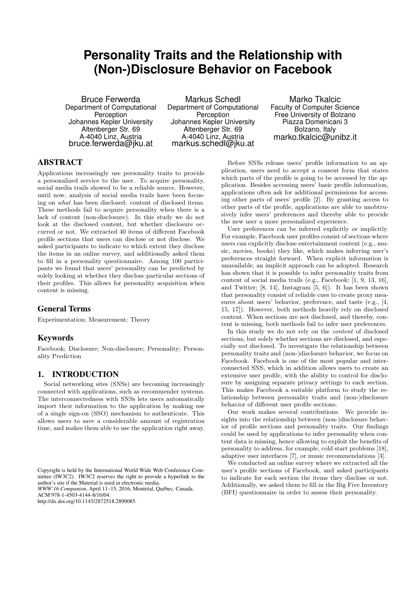# **Personality Traits and the Relationship with (Non-)Disclosure Behavior on Facebook**

Bruce Ferwerda Department of Computational **Perception** Johannes Kepler University Altenberger Str. 69 A-4040 Linz, Austria bruce.ferwerda@jku.at

Markus Schedl Department of Computational Perception Johannes Kepler University Altenberger Str. 69 A-4040 Linz, Austria markus.schedl@jku.at

Marko Tkalcic Faculty of Computer Science Free University of Bolzano Piazza Domenicani 3 Bolzano, Italy marko.tkalcic@unibz.it

# ABSTRACT

Applications increasingly use personality traits to provide a personalized service to the user. To acquire personality, social media trails showed to be a reliable source. However, until now, analysis of social media trails have been focusing on what has been disclosed: content of disclosed items. These methods fail to acquire personality when there is a lack of content (non-disclosure). In this study we do not look at the disclosed content, but whether disclosure occurred or not. We extracted 40 items of different Facebook profile sections that users can disclose or not disclose. We asked participants to indicate to which extent they disclose the items in an online survey, and additionally asked them to fill in a personality questionnaire. Among 100 participants we found that users' personality can be predicted by solely looking at whether they disclose particular sections of their profiles. This allows for personality acquisition when content is missing.

### General Terms

Experimentation; Measurement; Theory

### Keywords

Facebook; Disclosure; Non-disclosure; Personality; Personality Prediction

# 1. INTRODUCTION

Social networking sites (SNSs) are becoming increasingly connected with applications, such as recommender systems. The interconnectedness with SNSs lets users automatically import their information to the application by making use of a single sign-on (SSO) mechanism to authenticate. This allows users to save a considerable amount of registration time, and makes them able to use the application right away.

*WWW'16 Companion,* April 11–15, 2016, Montréal, Québec, Canada.

http://dx.doi.org/10.1145/2872518.2890085.

Before SNSs release users' profile information to an application, users need to accept a consent form that states which parts of the profile is going to be accessed by the application. Besides accessing users' basic profile information, applications often ask for additional permissions for accessing other parts of users' profile [\[2\]](#page-3-0). By granting access to other parts of the profile, applications are able to unobtrusively infer users' preferences and thereby able to provide the new user a more personalized experience.

User preferences can be inferred explicitly or implicitly. For example, Facebook user profiles consist of sections where users can explicitly disclose entertainment content (e.g., music, movies, books) they like, which makes inferring user's preferences straight forward. When explicit information is unavailable, an implicit approach can be adopted. Research has shown that it is possible to infer personality traits from content of social media trails (e.g., Facebook; [\[1,](#page-3-1) [9,](#page-3-2) [13,](#page-3-3) [16\]](#page-3-4), and Twitter; [\[8,](#page-3-5) [14\]](#page-3-6), Instagram [\[5,](#page-3-7) [6\]](#page-3-8)). It has been shown that personality consist of reliable cues to create proxy measures about users' behavior, preference, and taste (e.g., [\[4,](#page-3-9) [15,](#page-3-10) [17\]](#page-3-11)). However, both methods heavily rely on disclosed content. When sections are not disclosed, and thereby, content is missing, both methods fail to infer user preferences.

In this study we do not rely on the content of disclosed sections, but solely whether sections are disclosed, and especially not disclosed. To investigate the relationship between personality traits and (non-)disclosure behavior, we focus on Facebook. Facebook is one of the most popular and interconnected SNS, which in addition allows users to create an extensive user profile, with the ability to control for disclosure by assigning separate privacy settings to each section. This makes Facebook a suitable platform to study the relationship between personality traits and (non-)disclosure behavior of different user profile sections.

Our work makes several contributions. We provide insights into the relationship between (non-)disclosure behavior of profile sections and personality traits. Our findings could be used by applications to infer personality when content data is missing, hence allowing to exploit the benefits of personality to address, for example, cold start problems [\[18\]](#page-3-12), adaptive user interfaces [\[7\]](#page-3-13), or music recommendations [\[3\]](#page-3-14).

We conducted an online survey where we extracted all the user's profile sections of Facebook, and asked participants to indicate for each section the items they disclose or not. Additionally, we asked them to fill in the Big Five Inventory (BFI) questionnaire in order to assess their personality.

Copyright is held by the International World Wide Web Conference Committee (IW3C2). IW3C2 reserves the right to provide a hyperlink to the author's site if the Material is used in electronic media.

ACM 978-1-4503-4144-8/16/04.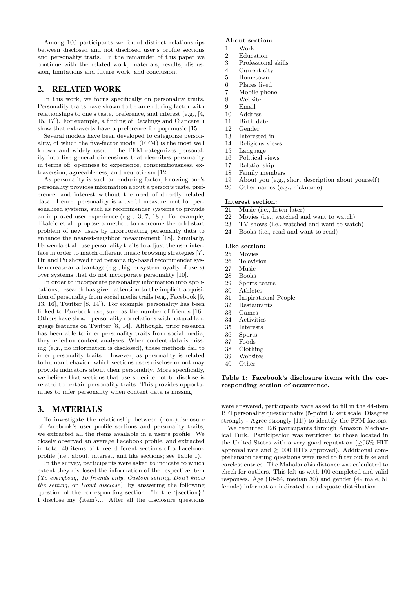Among 100 participants we found distinct relationships between disclosed and not disclosed user's profile sections and personality traits. In the remainder of this paper we continue with the related work, materials, results, discussion, limitations and future work, and conclusion.

### 2. RELATED WORK

In this work, we focus specifically on personality traits. Personality traits have shown to be an enduring factor with relationships to one's taste, preference, and interest (e.g., [\[4,](#page-3-9) [15,](#page-3-10) [17\]](#page-3-11)). For example, a finding of Rawlings and Ciancarelli show that extraverts have a preference for pop music [\[15\]](#page-3-10).

Several models have been developed to categorize personality, of which the five-factor model (FFM) is the most well known and widely used. The FFM categorizes personality into five general dimensions that describes personality in terms of: openness to experience, conscientiousness, extraversion, agreeableness, and neuroticism [\[12\]](#page-3-15).

As personality is such an enduring factor, knowing one's personality provides information about a person's taste, preference, and interest without the need of directly related data. Hence, personality is a useful measurement for personalized systems, such as recommender systems to provide an improved user experience (e.g., [\[3,](#page-3-14) [7,](#page-3-13) [18\]](#page-3-12)). For example, Tkalcic et al. propose a method to overcome the cold start problem of new users by incorporating personality data to enhance the nearest-neighbor measurement [\[18\]](#page-3-12). Similarly, Ferwerda et al. use personality traits to adjust the user interface in order to match different music browsing strategies [\[7\]](#page-3-13). Hu and Pu showed that personality-based recommender system create an advantage (e.g., higher system loyalty of users) over systems that do not incorporate personality [\[10\]](#page-3-16).

In order to incorporate personality information into applications, research has given attention to the implicit acquisition of personality from social media trails (e.g., Facebook [\[9,](#page-3-2) [13,](#page-3-3) [16\]](#page-3-4), Twitter [\[8,](#page-3-5) [14\]](#page-3-6)). For example, personality has been linked to Facebook use, such as the number of friends [\[16\]](#page-3-4). Others have shown personality correlations with natural language features on Twitter [\[8,](#page-3-5) [14\]](#page-3-6). Although, prior research has been able to infer personality traits from social media, they relied on content analyses. When content data is missing (e.g., no information is disclosed), these methods fail to infer personality traits. However, as personality is related to human behavior, which sections users disclose or not may provide indicators about their personality. More specifically, we believe that sections that users decide not to disclose is related to certain personality traits. This provides opportunities to infer personality when content data is missing.

# 3. MATERIALS

To investigate the relationship between (non-)disclosure of Facebook's user profile sections and personality traits, we extracted all the items available in a user's profile. We closely observed an average Facebook profile, and extracted in total 40 items of three different sections of a Facebook profile (i.e., about, interest, and like sections; see Table [1\)](#page-1-0).

In the survey, participants were asked to indicate to which extent they disclosed the information of the respective item (To everybody, To friends only, Custom setting, Don't know the setting, or Don't disclose), by answering the following question of the corresponding section: "In the '{section},' I disclose my {item}..." After all the disclosure questions

#### About section:

- 1 Work
- 2 Education
- 3 Professional skills
- 4 Current city
- 5 Hometown
- 6 Places lived
- 7 Mobile phone
- 8 Website
- 9 Email
- 10 Address
- 11 Birth date
- 12 Gender
- 13 Interested in 14 Religious views
- 15 Language
- 
- 16 Political views 17 Relationship
- 
- 18 Family members
- 19 About you (e.g., short description about yourself)
- 20 Other names (e.g., nickname)

### Interest section:

- 21 Music (i.e., listen later)
- 22 Movies (i.e., watched and want to watch)
- 23 TV-shows (i.e., watched and want to watch)
- 24 Books (i.e., read and want to read)

#### Like section:

- 25 Movies
- 26 Television
- 27 Music
- 28 Books
- 29 Sports teams
- 30 Athletes
- 31 Inspirational People
- 32 Restaurants
- 33 Games
- 34 Activities
- 35 Interests
- 36 Sports
- 37 Foods
- 38 Clothing
- 39 Websites
- <span id="page-1-0"></span>40 Other

#### Table 1: Facebook's disclosure items with the corresponding section of occurrence.

were answered, participants were asked to fill in the 44-item BFI personality questionnaire (5-point Likert scale; Disagree strongly - Agree strongly [\[11\]](#page-3-17)) to identify the FFM factors.

We recruited 126 participants through Amazon Mechanical Turk. Participation was restricted to those located in the United States with a very good reputation ( $\geq$ 95% HIT approval rate and ≥1000 HITs approved). Additional comprehension testing questions were used to filter out fake and careless entries. The Mahalanobis distance was calculated to check for outliers. This left us with 100 completed and valid responses. Age (18-64, median 30) and gender (49 male, 51 female) information indicated an adequate distribution.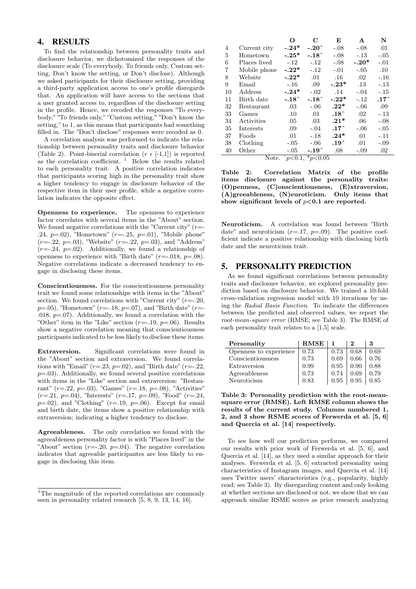# 4. RESULTS

To find the relationship between personality traits and disclosure behavior, we dichotomized the responses of the disclosure scale (To everybody, To friends only, Custom setting, Don't know the setting, or Don't disclose). Although we asked participants for their disclosure setting, providing a third-party application access to one's profile disregards that. An application will have access to the sections that a user granted access to, regardless of the disclosure setting in the profile. Hence, we recoded the responses "To everybody," "To friends only," "Custom setting," "Don't know the setting," to 1, as this means that participants had something filled in. The "Don't disclose" responses were recoded as 0.

A correlation analysis was performed to indicate the relationship between personality traits and disclosure behavior (Table [2\)](#page-2-0). Point-biserial correlation ( $r \in [-1,1]$ ) is reported as the correlation coefficient.  $\frac{1}{1}$  $\frac{1}{1}$  $\frac{1}{1}$  Below the results related to each personality trait. A positive correlation indicates that participants scoring high in the personality trait show a higher tendency to engage in disclosure behavior of the respective item in their user profile, while a negative correlation indicates the opposite effect.

Openness to experience. The openness to experience factor correlates with several items in the "About" section. We found negative correlations with the "Current city"  $(r=$ .24,  $p=0.02$ ), "Hometown" ( $r=-1.25$ ,  $p=.01$ ), "Mobile phone"  $(r=-.22, p=.03)$ , "Website"  $(r=-.22, p=.03)$ , and "Address"  $(r=-.24, p=.02)$ . Additionally, we found a relationship of openness to experience with "Birth date" ( $r = -0.018$ ,  $p = 0.08$ ). Negative correlations indicate a decreased tendency to engage in disclosing these items.

Conscientiousness. For the conscientiousness personality trait we found some relationships with items in the "About" section. We found correlations with "Current city"  $(r=-120,$  $p=0.05$ ), "Hometown" (r=-.18,  $p=0.07$ ), and "Birth date" (r=-.018,  $p=0.07$ ). Additionally, we found a correlation with the "Other" item in the "Like" section  $(r=-.19, p=.06)$ . Results show a negative correlation meaning that conscientiousness participants indicated to be less likely to disclose these items.

Extraversion. Significant correlations were found in the "About" section and extraversion. We found correlations with "Email" ( $r=.23$ ,  $p=.02$ ), and "Birth date" ( $r=.22$ ,  $p=03$ ). Additionally, we found several positive correlations with items in the "Like" section and extraversion: "Restaurant" ( $r = .22$ ,  $p = .03$ ), "Games" ( $r = .18$ ,  $p = .08$ ), "Activities"  $(r=.21, p=.04)$ , "Interests"  $(r=.17, p=.09)$ , "Food"  $(r=.24,$  $p=.02$ ), and "Clothing" ( $r=.19$ ,  $p=.06$ ). Except for email and birth date, the items show a positive relationship with extraversion; indicating a higher tendency to disclose.

Agreeableness. The only correlation we found with the agreeableness personality factor is with "Places lived" in the "About" section  $(r=.20, p=.04)$ . The negative correlation indicates that agreeable participantes are less likely to engage in disclosing this item.

|                                    |              | O       | C        | E               | A       | N             |  |
|------------------------------------|--------------|---------|----------|-----------------|---------|---------------|--|
| 4                                  | Current city | $-.24*$ | $-.20$ ^ | $-.08$          | $-.08$  | .01           |  |
| 5                                  | Hometown     | $-.25*$ | $-.18^$  | $-.08$          | $-.13$  | $-.05$        |  |
| 6                                  | Places lived | $-.12$  | $-.12$   | $-.08$          | $-.20*$ | $-.01$        |  |
| 7                                  | Mobile phone | $-.22*$ | $-.12$   | $-.01$          | $-.05$  | .10           |  |
| 8                                  | Website      | $-.22*$ | .01      | .16             | $.02\,$ | $-.16$        |  |
| 9                                  | Email        | $-.16$  | .09      | $-.23*$         | .13     | $-.13$        |  |
| 10                                 | Address      | $-.24*$ | $-.02$   | .14             | $-.04$  | $-.15$        |  |
| 11                                 | Birth date   | $-.18^$ | $-.18^$  | $-.22*$         | $-.12$  | $.17^{\circ}$ |  |
| 32                                 | Restaurant   | .03     | $-.06$   | $.22*$          | $-.06$  | .09           |  |
| 33                                 | Games        | $.10\,$ | .01      | $.18^{\degree}$ | .02     | $-.13$        |  |
| 34                                 | Activities   | .05     | .03      | $.21*$          | .06     | $-.08$        |  |
| 35                                 | Interests    | .09     | $-.04$   | $.17^{\circ}$   | $-.06$  | $-.05$        |  |
| 37                                 | Foods        | .01     | $-.18$   | $.24*$          | .01     | $-.11$        |  |
| 38                                 | Clothing     | $-.05$  | $-.06$   | $.19\hat{ }$    | .01     | $-.09$        |  |
| 40                                 | Other        | $-.05$  | $-.19^$  | .08             | $-.09$  | .02           |  |
| $*_{p<0.05}$<br>$p<0.1$ ,<br>Note. |              |         |          |                 |         |               |  |

<span id="page-2-0"></span>Table 2: Correlation Matrix of the profile items disclosure against the personality traits: (O)penness, (C)onscientiousness, (E)xtraversion, (A)greeableness, (N)euroticism. Only items that show significant levels of  $p<0.1$  are reported.

Neuroticism. A correlation was found between "Birth date" and neuroticism  $(r=.17, p=.09)$ . The positive coefficient indicate a positive relationship with disclosing birth date and the neuroticism trait.

# 5. PERSONALITY PREDICTION

As we found significant correlations between personality traits and disclosure behavior, we explored personality prediction based on disclosure behavior. We trained a 10-fold cross-validation regression model with 10 iterations by using the Radial Basis Function. To indicate the differences between the predicted and observed values, we report the root-mean-square error (RMSE; see Table [3\)](#page-2-2). The RMSE of each personality trait relates to a [1,5] scale.

| Personality            | <b>RMSE</b> |      |      | 3    |
|------------------------|-------------|------|------|------|
| Openness to experience | 0.73        | 0.73 | 0.68 | 0.69 |
| Conscientiousness      | 0.73        | 0.69 | 0.66 | 0.76 |
| Extraversion           | 0.99        | 0.95 | 0.90 | 0.88 |
| Agreeableness          | 0.73        | 0.74 | 0.69 | 0.79 |
| Neuroticism            | 0.83        | 0.95 | 0.95 | 0.85 |

<span id="page-2-2"></span>Table 3: Personality prediction with the root-meansquare error (RMSE). Left RMSE column shows the results of the current study. Columns numbered 1, 2, and 3 show RSME scores of Ferwerda et al. [\[5,](#page-3-7) [6\]](#page-3-8) and Quercia et al. [\[14\]](#page-3-6) respectively.

To see how well our prediction performs, we compared our results with prior work of Ferwerda et al. [\[5,](#page-3-7) [6\]](#page-3-8), and Quercia et al. [\[14\]](#page-3-6), as they used a similar approach for their analyses. Ferwerda et al. [\[5,](#page-3-7) [6\]](#page-3-8) extracted personality using characteristics of Instagram images, and Quercia et al. [\[14\]](#page-3-6) uses Twitter users' characteristics (e.g., popularity, highly read; see Table [3\)](#page-2-2). By disregarding content and only looking at whether sections are disclosed or not, we show that we can approach similar RSME scores as prior research analyzing

<span id="page-2-1"></span><sup>&</sup>lt;sup>1</sup>The magnitude of the reported correlations are commonly seen in personality related research [\[5,](#page-3-7) [8,](#page-3-5) [9,](#page-3-2) [13,](#page-3-3) [14,](#page-3-6) [16\]](#page-3-4).